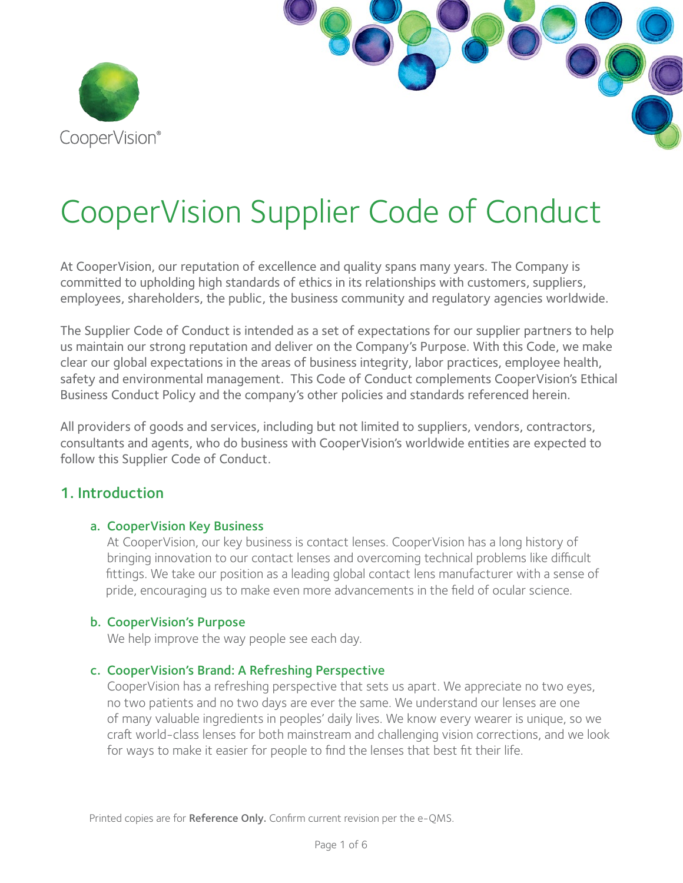

# CooperVision Supplier Code of Conduct

At CooperVision, our reputation of excellence and quality spans many years. The Company is committed to upholding high standards of ethics in its relationships with customers, suppliers, employees, shareholders, the public, the business community and regulatory agencies worldwide.

The Supplier Code of Conduct is intended as a set of expectations for our supplier partners to help us maintain our strong reputation and deliver on the Company's Purpose. With this Code, we make clear our global expectations in the areas of business integrity, labor practices, employee health, safety and environmental management. This Code of Conduct complements CooperVision's Ethical Business Conduct Policy and the company's other policies and standards referenced herein.

All providers of goods and services, including but not limited to suppliers, vendors, contractors, consultants and agents, who do business with CooperVision's worldwide entities are expected to follow this Supplier Code of Conduct.

## 1. Introduction

#### a. CooperVision Key Business

At CooperVision, our key business is contact lenses. CooperVision has a long history of bringing innovation to our contact lenses and overcoming technical problems like difficult fittings. We take our position as a leading global contact lens manufacturer with a sense of pride, encouraging us to make even more advancements in the field of ocular science.

#### b. CooperVision's Purpose

We help improve the way people see each day.

#### c. CooperVision's Brand: A Refreshing Perspective

CooperVision has a refreshing perspective that sets us apart. We appreciate no two eyes, no two patients and no two days are ever the same. We understand our lenses are one of many valuable ingredients in peoples' daily lives. We know every wearer is unique, so we craft world-class lenses for both mainstream and challenging vision corrections, and we look for ways to make it easier for people to find the lenses that best fit their life.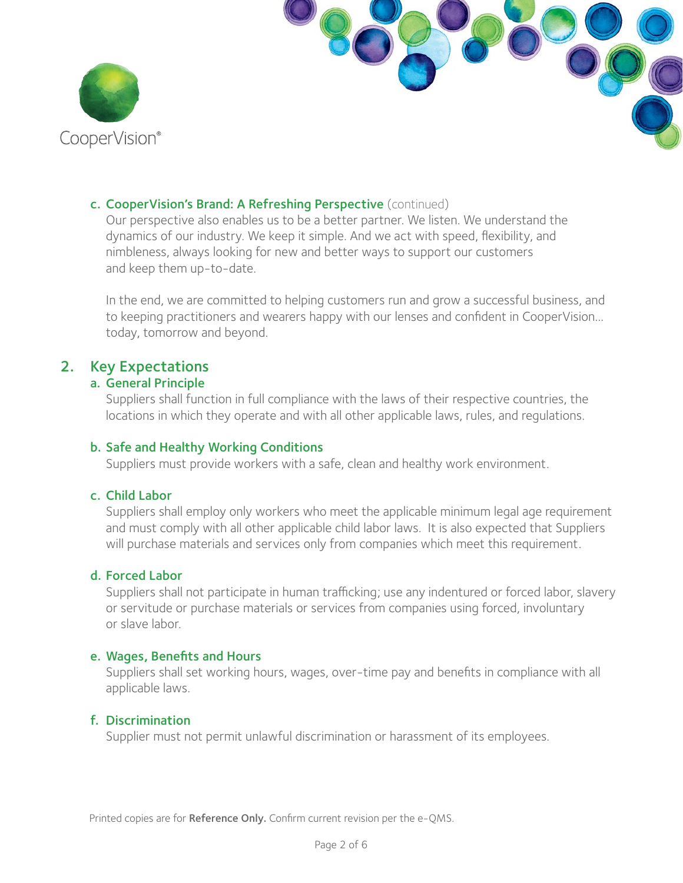

#### c. CooperVision's Brand: A Refreshing Perspective (continued)

 Our perspective also enables us to be a better partner. We listen. We understand the dynamics of our industry. We keep it simple. And we act with speed, flexibility, and nimbleness, always looking for new and better ways to support our customers and keep them up-to-date.

 In the end, we are committed to helping customers run and grow a successful business, and to keeping practitioners and wearers happy with our lenses and confident in CooperVision... today, tomorrow and beyond.

## 2. Key Expectations

#### a. General Principle

 Suppliers shall function in full compliance with the laws of their respective countries, the locations in which they operate and with all other applicable laws, rules, and regulations.

### b. Safe and Healthy Working Conditions

Suppliers must provide workers with a safe, clean and healthy work environment.

## c. Child Labor

 Suppliers shall employ only workers who meet the applicable minimum legal age requirement and must comply with all other applicable child labor laws. It is also expected that Suppliers will purchase materials and services only from companies which meet this requirement.

#### d. Forced Labor

 Suppliers shall not participate in human trafficking; use any indentured or forced labor, slavery or servitude or purchase materials or services from companies using forced, involuntary or slave labor.

#### e. Wages, Benefits and Hours

 Suppliers shall set working hours, wages, over-time pay and benefits in compliance with all applicable laws.

## f. Discrimination

Supplier must not permit unlawful discrimination or harassment of its employees.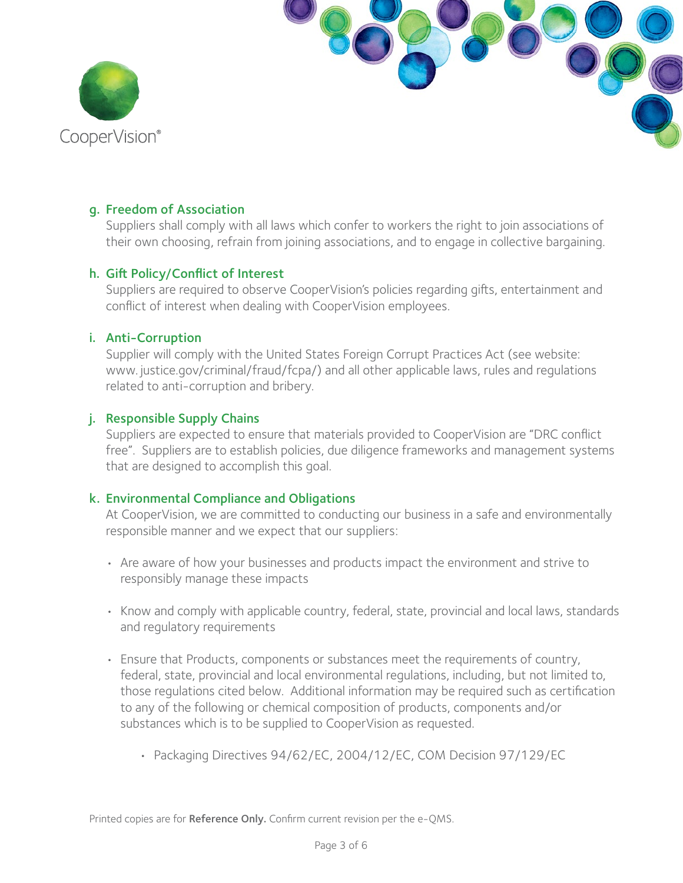

#### g. Freedom of Association

 Suppliers shall comply with all laws which confer to workers the right to join associations of their own choosing, refrain from joining associations, and to engage in collective bargaining.

#### h. Gift Policy/Conflict of Interest

 Suppliers are required to observe CooperVision's policies regarding gifts, entertainment and conflict of interest when dealing with CooperVision employees.

#### i. Anti-Corruption

 Supplier will comply with the United States Foreign Corrupt Practices Act (see website: www. justice.gov/criminal/fraud/fcpa/) and all other applicable laws, rules and regulations related to anti-corruption and bribery.

#### j. Responsible Supply Chains

 Suppliers are expected to ensure that materials provided to CooperVision are "DRC conflict free". Suppliers are to establish policies, due diligence frameworks and management systems that are designed to accomplish this goal.

#### k. Environmental Compliance and Obligations

 At CooperVision, we are committed to conducting our business in a safe and environmentally responsible manner and we expect that our suppliers:

- Are aware of how your businesses and products impact the environment and strive to responsibly manage these impacts
- Know and comply with applicable country, federal, state, provincial and local laws, standards and regulatory requirements
- Ensure that Products, components or substances meet the requirements of country, federal, state, provincial and local environmental regulations, including, but not limited to, those regulations cited below. Additional information may be required such as certification to any of the following or chemical composition of products, components and/or substances which is to be supplied to CooperVision as requested.
	- Packaging Directives 94/62/EC, 2004/12/EC, COM Decision 97/129/EC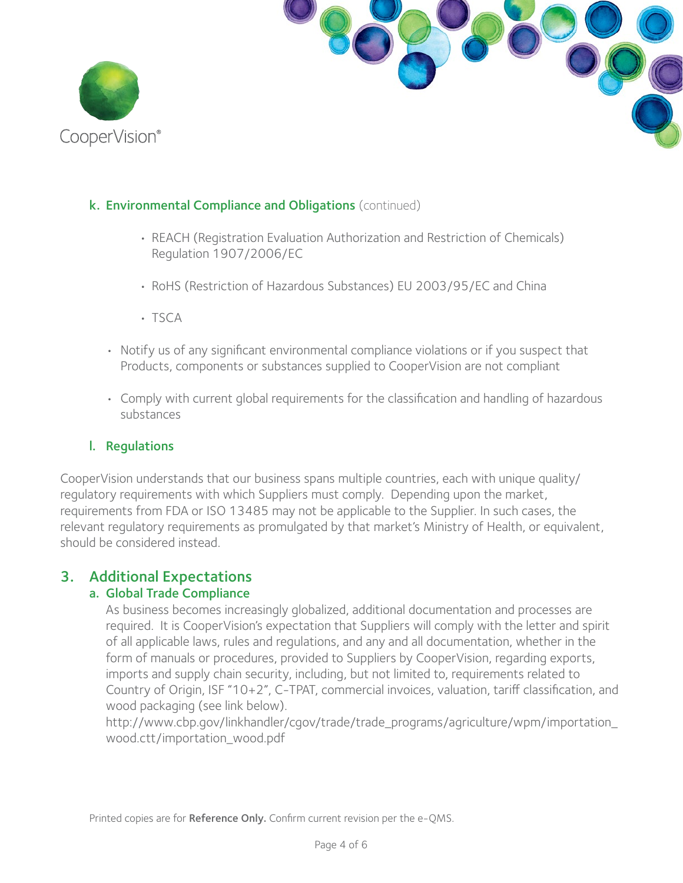



## k. Environmental Compliance and Obligations (continued)

- REACH (Registration Evaluation Authorization and Restriction of Chemicals) Regulation 1907/2006/EC
- RoHS (Restriction of Hazardous Substances) EU 2003/95/EC and China
- TSCA
- Notify us of any significant environmental compliance violations or if you suspect that Products, components or substances supplied to CooperVision are not compliant
- Comply with current global requirements for the classification and handling of hazardous substances

#### l. Regulations

CooperVision understands that our business spans multiple countries, each with unique quality/ regulatory requirements with which Suppliers must comply. Depending upon the market, requirements from FDA or ISO 13485 may not be applicable to the Supplier. In such cases, the relevant regulatory requirements as promulgated by that market's Ministry of Health, or equivalent, should be considered instead.

## 3. Additional Expectations

## a. Global Trade Compliance

As business becomes increasingly globalized, additional documentation and processes are required. It is CooperVision's expectation that Suppliers will comply with the letter and spirit of all applicable laws, rules and regulations, and any and all documentation, whether in the form of manuals or procedures, provided to Suppliers by CooperVision, regarding exports, imports and supply chain security, including, but not limited to, requirements related to Country of Origin, ISF "10+2", C-TPAT, commercial invoices, valuation, tariff classification, and wood packaging (see link below).

http://www.cbp.gov/linkhandler/cgov/trade/trade\_programs/agriculture/wpm/importation\_ wood.ctt/importation\_wood.pdf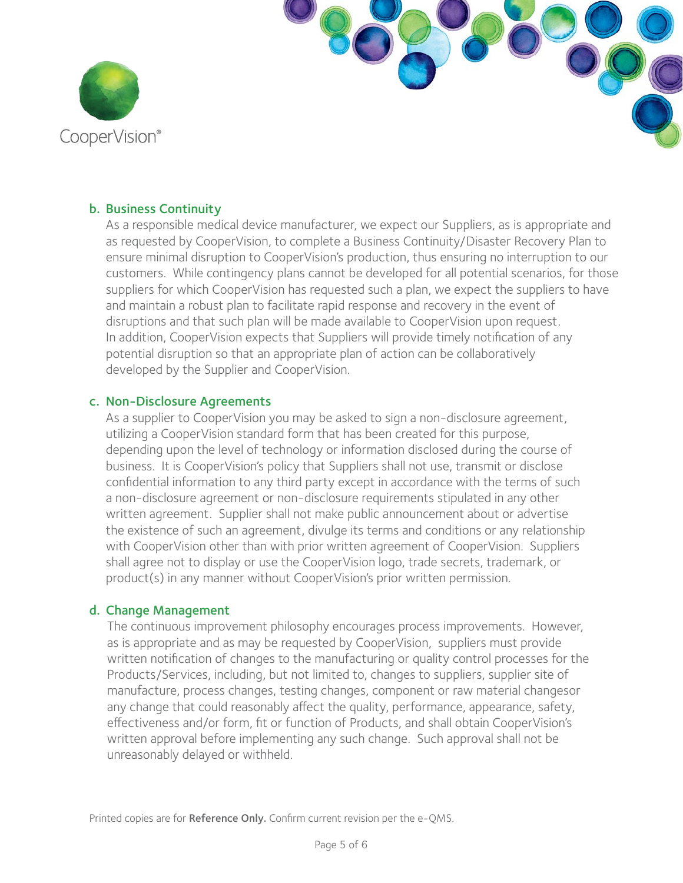

#### b. Business Continuity

 As a responsible medical device manufacturer, we expect our Suppliers, as is appropriate and as requested by CooperVision, to complete a Business Continuity/Disaster Recovery Plan to ensure minimal disruption to CooperVision's production, thus ensuring no interruption to our customers. While contingency plans cannot be developed for all potential scenarios, for those suppliers for which CooperVision has requested such a plan, we expect the suppliers to have and maintain a robust plan to facilitate rapid response and recovery in the event of disruptions and that such plan will be made available to CooperVision upon request. In addition, CooperVision expects that Suppliers will provide timely notification of any potential disruption so that an appropriate plan of action can be collaboratively developed by the Supplier and CooperVision.

#### c. Non-Disclosure Agreements

 As a supplier to CooperVision you may be asked to sign a non-disclosure agreement, utilizing a CooperVision standard form that has been created for this purpose, depending upon the level of technology or information disclosed during the course of business. It is CooperVision's policy that Suppliers shall not use, transmit or disclose confidential information to any third party except in accordance with the terms of such a non-disclosure agreement or non-disclosure requirements stipulated in any other written agreement. Supplier shall not make public announcement about or advertise the existence of such an agreement, divulge its terms and conditions or any relationship with CooperVision other than with prior written agreement of CooperVision. Suppliers shall agree not to display or use the CooperVision logo, trade secrets, trademark, or product(s) in any manner without CooperVision's prior written permission.

#### d. Change Management

The continuous improvement philosophy encourages process improvements. However, as is appropriate and as may be requested by CooperVision, suppliers must provide written notification of changes to the manufacturing or quality control processes for the Products/Services, including, but not limited to, changes to suppliers, supplier site of manufacture, process changes, testing changes, component or raw material changesor any change that could reasonably affect the quality, performance, appearance, safety, effectiveness and/or form, fit or function of Products, and shall obtain CooperVision's written approval before implementing any such change. Such approval shall not be unreasonably delayed or withheld.